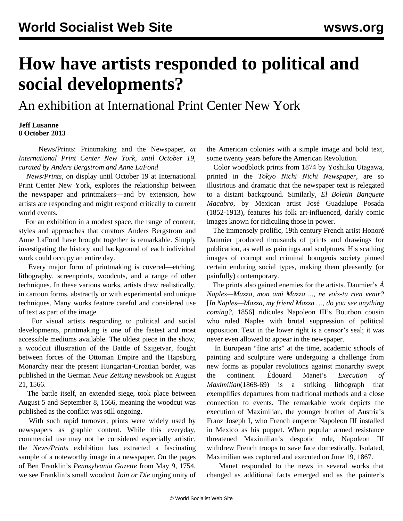## **How have artists responded to political and social developments?**

An exhibition at International Print Center New York

## **Jeff Lusanne 8 October 2013**

 News/Prints: Printmaking and the Newspaper*, at International Print Center New York, until October 19, curated by Anders Bergstrom and Anne LaFond*

 *News/Prints*, on display until October 19 at International Print Center New York, explores the relationship between the newspaper and printmakers—and by extension, how artists are responding and might respond critically to current world events.

 For an exhibition in a modest space, the range of content, styles and approaches that curators Anders Bergstrom and Anne LaFond have brought together is remarkable. Simply investigating the history and background of each individual work could occupy an entire day.

 Every major form of printmaking is covered—etching, lithography, screenprints, woodcuts, and a range of other techniques. In these various works, artists draw realistically, in cartoon forms, abstractly or with experimental and unique techniques. Many works feature careful and considered use of text as part of the image.

 For visual artists responding to political and social developments, printmaking is one of the fastest and most accessible mediums available. The oldest piece in the show, a woodcut illustration of the Battle of Szigetvar, fought between forces of the Ottoman Empire and the Hapsburg Monarchy near the present Hungarian-Croatian border, was published in the German *Neue Zeitung* newsbook on August 21, 1566.

 The battle itself, an extended siege, took place between August 5 and September 8, 1566, meaning the woodcut was published as the conflict was still ongoing.

 With such rapid turnover, prints were widely used by newspapers as graphic content. While this everyday, commercial use may not be considered especially artistic, the *News/Prints* exhibition has extracted a fascinating sample of a noteworthy image in a newspaper. On the pages of Ben Franklin's *Pennsylvania Gazette* from May 9, 1754, we see Franklin's small woodcut *Join or Die* urging unity of the American colonies with a simple image and bold text, some twenty years before the American Revolution.

 Color woodblock prints from 1874 by Yoshiiku Utagawa, printed in the *Tokyo Nichi Nichi Newspaper*, are so illustrious and dramatic that the newspaper text is relegated to a distant background. Similarly, *El Boletin Banquete Macabro*, by Mexican artist José Guadalupe Posada (1852-1913), features his folk art-influenced, darkly comic images known for ridiculing those in power.

 The immensely prolific, 19th century French artist Honoré Daumier produced thousands of prints and drawings for publication, as well as paintings and sculptures. His scathing images of corrupt and criminal bourgeois society pinned certain enduring social types, making them pleasantly (or painfully) contemporary.

 The prints also gained enemies for the artists. Daumier's *À Naples—Mazza, mon ami Mazza ..., ne vois-tu rien venir?* [*In Naples—Mazza, my friend Mazza …, do you see anything coming?*, 1856] ridicules Napoleon III's Bourbon cousin who ruled Naples with brutal suppression of political opposition. Text in the lower right is a censor's seal; it was never even allowed to appear in the newspaper.

 In European "fine arts" at the time, academic schools of painting and sculpture were undergoing a challenge from new forms as popular revolutions against monarchy swept the continent. Édouard Manet's *Execution of Maximilian*(1868-69) is a striking lithograph that exemplifies departures from traditional methods and a close connection to events. The remarkable work depicts the execution of Maximilian, the younger brother of Austria's Franz Joseph I, who French emperor Napoleon III installed in Mexico as his puppet. When popular armed resistance threatened Maximilian's despotic rule, Napoleon III withdrew French troops to save face domestically. Isolated, Maximilian was captured and executed on June 19, 1867.

 Manet responded to the news in several works that changed as additional facts emerged and as the painter's